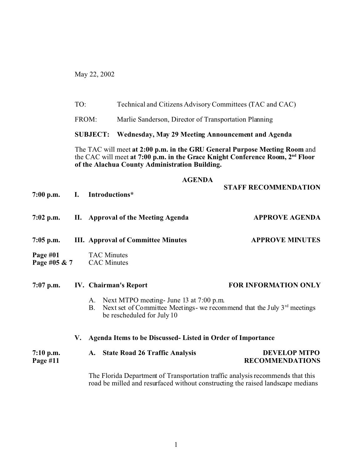May 22, 2002

TO: Technical and Citizens Advisory Committees (TAC and CAC)

FROM: Marlie Sanderson, Director of Transportation Planning

**SUBJECT: Wednesday, May 29 Meeting Announcement and Agenda**

The TAC will meet **at 2:00 p.m. in the GRU General Purpose Meeting Room** and the CAC will meet **at 7:00 p.m. in the Grace Knight Conference Room, 2nd Floor of the Alachua County Administration Building.**

## **AGENDA**

**STAFF RECOMMENDATION**

|                         |    | 7:00 p.m. I. Introductions*                                                                                                                                 |                                               |  |
|-------------------------|----|-------------------------------------------------------------------------------------------------------------------------------------------------------------|-----------------------------------------------|--|
|                         |    | 7:02 p.m. II. Approval of the Meeting Agenda                                                                                                                | <b>APPROVE AGENDA</b>                         |  |
| $7:05$ p.m.             |    | <b>III.</b> Approval of Committee Minutes                                                                                                                   | <b>APPROVE MINUTES</b>                        |  |
|                         |    | Page #01 TAC Minutes<br>Page #05 & 7 CAC Minutes                                                                                                            |                                               |  |
|                         |    | 7:07 p.m. IV. Chairman's Report                                                                                                                             | <b>FOR INFORMATION ONLY</b>                   |  |
|                         |    | A. Next MTPO meeting- June 13 at 7:00 p.m.<br>Next set of Committee Meetings- we recommend that the July $3rd$ meetings<br>B.<br>be rescheduled for July 10 |                                               |  |
|                         | V. | Agenda Items to be Discussed- Listed in Order of Importance                                                                                                 |                                               |  |
| $7:10$ p.m.<br>Page #11 |    | A. State Road 26 Traffic Analysis                                                                                                                           | <b>DEVELOP MTPO</b><br><b>RECOMMENDATIONS</b> |  |

The Florida Department of Transportation traffic analysis recommends that this road be milled and resurfaced without constructing the raised landscape medians